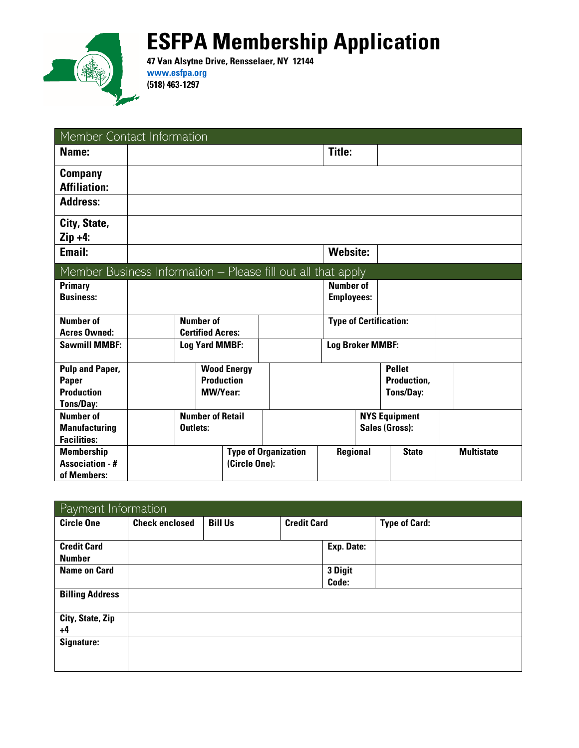

## **ESFPA Membership Application**

**47 Van Alsytne Drive, Rensselaer, NY 12144 [www.esfpa.org](http://www.esfpa.org/) (518) 463-1297**

| Member Contact Information                                   |                                             |                         |                             |                    |                               |                                 |  |                   |  |
|--------------------------------------------------------------|---------------------------------------------|-------------------------|-----------------------------|--------------------|-------------------------------|---------------------------------|--|-------------------|--|
| Name:                                                        |                                             |                         |                             |                    |                               | Title:                          |  |                   |  |
| <b>Company</b>                                               |                                             |                         |                             |                    |                               |                                 |  |                   |  |
| <b>Affiliation:</b>                                          |                                             |                         |                             |                    |                               |                                 |  |                   |  |
| <b>Address:</b>                                              |                                             |                         |                             |                    |                               |                                 |  |                   |  |
| City, State,                                                 |                                             |                         |                             |                    |                               |                                 |  |                   |  |
| $Zip +4:$                                                    |                                             |                         |                             |                    |                               |                                 |  |                   |  |
| Email:                                                       |                                             |                         |                             |                    |                               | <b>Website:</b>                 |  |                   |  |
| Member Business Information - Please fill out all that apply |                                             |                         |                             |                    |                               |                                 |  |                   |  |
| <b>Primary</b>                                               |                                             |                         |                             |                    |                               | <b>Number of</b>                |  |                   |  |
| <b>Business:</b>                                             |                                             |                         |                             |                    |                               | <b>Employees:</b>               |  |                   |  |
|                                                              |                                             |                         |                             |                    |                               |                                 |  |                   |  |
| <b>Number of</b><br><b>Acres Owned:</b>                      | <b>Number of</b><br><b>Certified Acres:</b> |                         |                             |                    | <b>Type of Certification:</b> |                                 |  |                   |  |
| <b>Sawmill MMBF:</b>                                         | <b>Log Yard MMBF:</b>                       |                         |                             |                    | <b>Log Broker MMBF:</b>       |                                 |  |                   |  |
|                                                              |                                             |                         |                             |                    |                               |                                 |  |                   |  |
| <b>Pulp and Paper,</b>                                       |                                             |                         |                             | <b>Wood Energy</b> |                               |                                 |  | <b>Pellet</b>     |  |
| <b>Paper</b>                                                 | <b>Production</b>                           |                         |                             |                    | Production,                   |                                 |  |                   |  |
| <b>Production</b>                                            | <b>MW/Year:</b>                             |                         |                             |                    |                               | Tons/Day:                       |  |                   |  |
| <b>Tons/Day:</b>                                             |                                             |                         |                             |                    |                               |                                 |  |                   |  |
| <b>Number of</b>                                             |                                             | <b>Number of Retail</b> |                             |                    | <b>NYS Equipment</b>          |                                 |  |                   |  |
| <b>Manufacturing</b>                                         | Outlets:                                    |                         | <b>Sales (Gross):</b>       |                    |                               |                                 |  |                   |  |
| <b>Facilities:</b>                                           |                                             |                         |                             |                    |                               |                                 |  |                   |  |
| <b>Membership</b>                                            |                                             |                         | <b>Type of Organization</b> |                    |                               | <b>Regional</b><br><b>State</b> |  | <b>Multistate</b> |  |
| <b>Association - #</b>                                       |                                             |                         |                             | (Circle One):      |                               |                                 |  |                   |  |
| of Members:                                                  |                                             |                         |                             |                    |                               |                                 |  |                   |  |

| Payment Information                 |                       |                |                    |                  |                      |
|-------------------------------------|-----------------------|----------------|--------------------|------------------|----------------------|
| <b>Circle One</b>                   | <b>Check enclosed</b> | <b>Bill Us</b> | <b>Credit Card</b> |                  | <b>Type of Card:</b> |
| <b>Credit Card</b><br><b>Number</b> |                       |                |                    | Exp. Date:       |                      |
| <b>Name on Card</b>                 |                       |                |                    | 3 Digit<br>Code: |                      |
| <b>Billing Address</b>              |                       |                |                    |                  |                      |
| City, State, Zip<br>$+4$            |                       |                |                    |                  |                      |
| Signature:                          |                       |                |                    |                  |                      |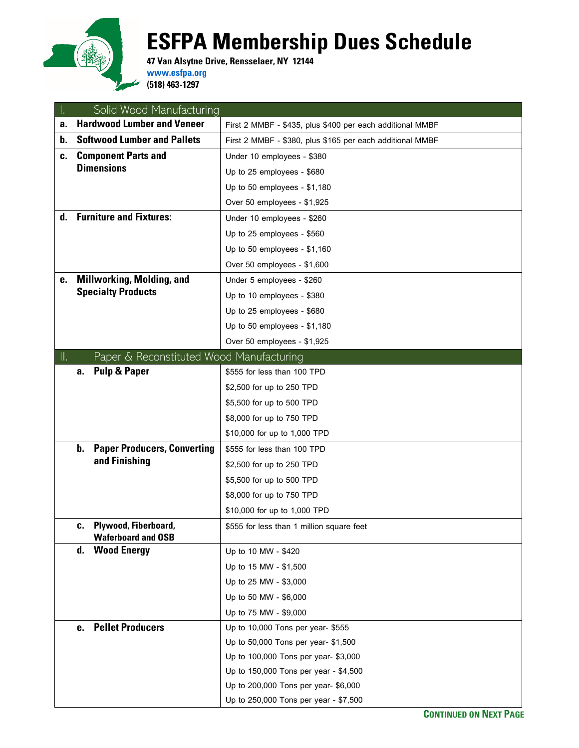

## **ESFPA Membership Dues Schedule**

**47 Van Alsytne Drive, Rensselaer, NY 12144 [www.esfpa.org](http://www.esfpa.org/)**

**(518) 463-1297**

|     | Solid Wood Manufacturing                                |                                                           |
|-----|---------------------------------------------------------|-----------------------------------------------------------|
| a.  | <b>Hardwood Lumber and Veneer</b>                       | First 2 MMBF - \$435, plus \$400 per each additional MMBF |
| b.  | <b>Softwood Lumber and Pallets</b>                      | First 2 MMBF - \$380, plus \$165 per each additional MMBF |
| C.  | <b>Component Parts and</b>                              | Under 10 employees - \$380                                |
|     | <b>Dimensions</b>                                       | Up to 25 employees - \$680                                |
|     |                                                         | Up to 50 employees - \$1,180                              |
|     |                                                         | Over 50 employees - \$1,925                               |
| d.  | <b>Furniture and Fixtures:</b>                          | Under 10 employees - \$260                                |
|     |                                                         | Up to 25 employees - \$560                                |
|     |                                                         | Up to 50 employees - \$1,160                              |
|     |                                                         | Over 50 employees - \$1,600                               |
| е.  | <b>Millworking, Molding, and</b>                        | Under 5 employees - \$260                                 |
|     | <b>Specialty Products</b>                               | Up to 10 employees - \$380                                |
|     |                                                         | Up to 25 employees - \$680                                |
|     |                                                         | Up to 50 employees - \$1,180                              |
|     |                                                         | Over 50 employees - \$1,925                               |
| II. | Paper & Reconstituted Wood Manufacturing                |                                                           |
|     | <b>Pulp &amp; Paper</b><br>а.                           | \$555 for less than 100 TPD                               |
|     |                                                         | \$2,500 for up to 250 TPD                                 |
|     |                                                         | \$5,500 for up to 500 TPD                                 |
|     |                                                         | \$8,000 for up to 750 TPD                                 |
|     |                                                         | \$10,000 for up to 1,000 TPD                              |
|     | b.<br><b>Paper Producers, Converting</b>                | \$555 for less than 100 TPD                               |
|     | and Finishing                                           | \$2,500 for up to 250 TPD                                 |
|     |                                                         | \$5,500 for up to 500 TPD                                 |
|     |                                                         | \$8,000 for up to 750 TPD                                 |
|     |                                                         | \$10,000 for up to 1,000 TPD                              |
|     | Plywood, Fiberboard,<br>c.<br><b>Waferboard and OSB</b> | \$555 for less than 1 million square feet                 |
|     | <b>Wood Energy</b><br>d.                                | Up to 10 MW - \$420                                       |
|     |                                                         | Up to 15 MW - \$1,500                                     |
|     |                                                         | Up to 25 MW - \$3,000                                     |
|     |                                                         | Up to 50 MW - \$6,000                                     |
|     |                                                         | Up to 75 MW - \$9,000                                     |
|     | <b>Pellet Producers</b><br>е.                           | Up to 10,000 Tons per year- \$555                         |
|     |                                                         | Up to 50,000 Tons per year- \$1,500                       |
|     |                                                         | Up to 100,000 Tons per year- \$3,000                      |
|     |                                                         | Up to 150,000 Tons per year - \$4,500                     |
|     |                                                         | Up to 200,000 Tons per year- \$6,000                      |
|     |                                                         | Up to 250,000 Tons per year - \$7,500                     |

**CONTINUED ON NEXT PAGE**